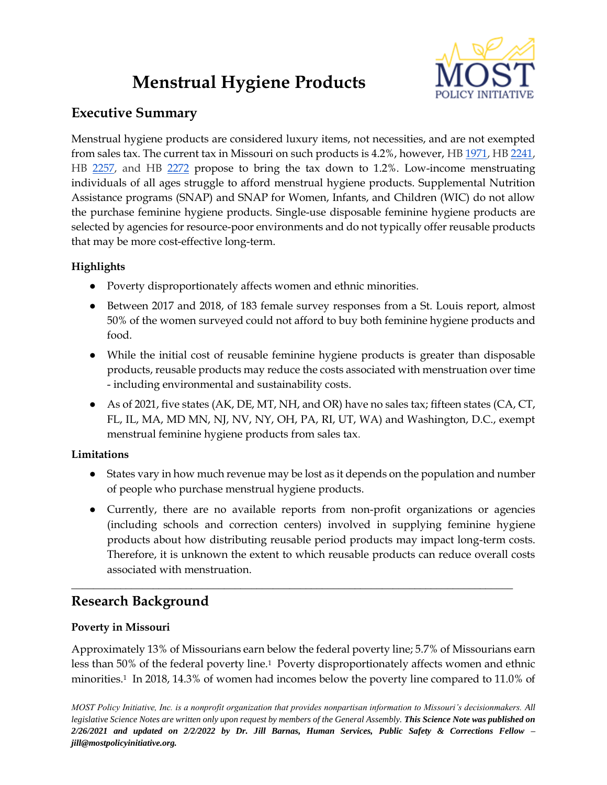# **Menstrual Hygiene Products**



## **Executive Summary**

Menstrual hygiene products are considered luxury items, not necessities, and are not exempted from sales tax. The current tax in Missouri on such products is 4.2%, however, H[B 1971,](https://house.mo.gov/Bill.aspx?bill=HB1971&year=2022&code=R) HB [2241,](https://house.mo.gov/Bill.aspx?bill=HB2241&year=2022&code=R) HB [2257,](https://house.mo.gov/Bill.aspx?bill=HB2257&year=2022&code=R) and HB [2272](https://house.mo.gov/Bill.aspx?bill=HB2272&year=2022&code=R) propose to bring the tax down to 1.2%. Low-income menstruating individuals of all ages struggle to afford menstrual hygiene products. Supplemental Nutrition Assistance programs (SNAP) and SNAP for Women, Infants, and Children (WIC) do not allow the purchase feminine hygiene products. Single-use disposable feminine hygiene products are selected by agencies for resource-poor environments and do not typically offer reusable products that may be more cost-effective long-term.

### **Highlights**

- Poverty disproportionately affects women and ethnic minorities.
- Between 2017 and 2018, of 183 female survey responses from a St. Louis report, almost 50% of the women surveyed could not afford to buy both feminine hygiene products and food.
- While the initial cost of reusable feminine hygiene products is greater than disposable products, reusable products may reduce the costs associated with menstruation over time - including environmental and sustainability costs.
- As of 2021, five states (AK, DE, MT, NH, and OR) have no sales tax; fifteen states (CA, CT, FL, IL, MA, MD MN, NJ, NV, NY, OH, PA, RI, UT, WA) and Washington, D.C., exempt menstrual feminine hygiene products from sales tax.

#### **Limitations**

- States vary in how much revenue may be lost as it depends on the population and number of people who purchase menstrual hygiene products.
- Currently, there are no available reports from non-profit organizations or agencies (including schools and correction centers) involved in supplying feminine hygiene products about how distributing reusable period products may impact long-term costs. Therefore, it is unknown the extent to which reusable products can reduce overall costs associated with menstruation.

## **Research Background**

#### **Poverty in Missouri**

Approximately 13% of Missourians earn below the federal poverty line; 5.7% of Missourians earn less than 50% of the federal poverty line.1 Poverty disproportionately affects women and ethnic minorities.<sup>1</sup> In 2018, 14.3% of women had incomes below the poverty line compared to 11.0% of

**\_\_\_\_\_\_\_\_\_\_\_\_\_\_\_\_\_\_\_\_\_\_\_\_\_\_\_\_\_\_\_\_\_\_\_\_\_\_\_\_\_\_\_\_\_\_\_\_\_\_\_\_\_\_\_\_\_\_\_\_\_\_\_\_\_\_\_\_\_\_\_\_\_\_\_\_\_\_\_\_\_**

*MOST Policy Initiative, Inc. is a nonprofit organization that provides nonpartisan information to Missouri's decisionmakers. All legislative Science Notes are written only upon request by members of the General Assembly. This Science Note was published on 2/26/2021 and updated on 2/2/2022 by Dr. Jill Barnas, Human Services, Public Safety & Corrections Fellow – jill@mostpolicyinitiative.org.*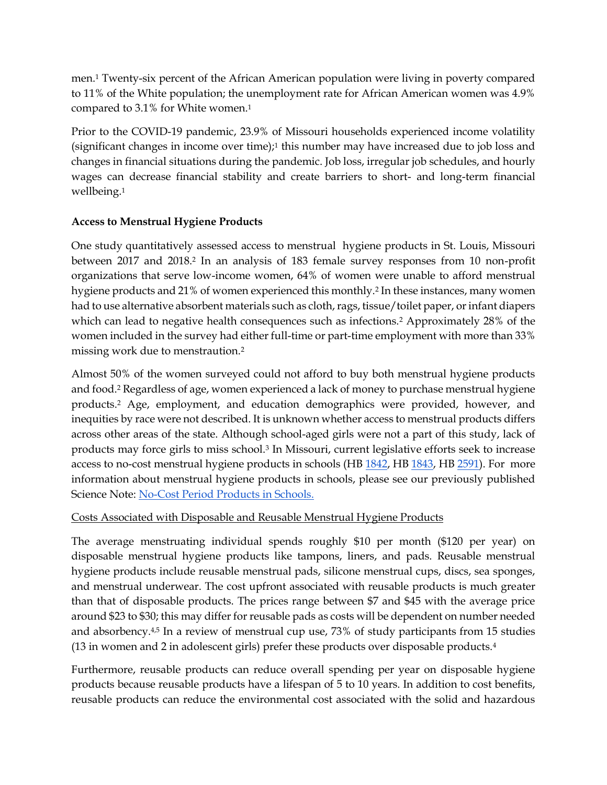men.<sup>1</sup> Twenty-six percent of the African American population were living in poverty compared to 11% of the White population; the unemployment rate for African American women was 4.9% compared to 3.1% for White women.<sup>1</sup>

Prior to the COVID-19 pandemic, 23.9% of Missouri households experienced income volatility (significant changes in income over time);<sup>1</sup> this number may have increased due to job loss and changes in financial situations during the pandemic. Job loss, irregular job schedules, and hourly wages can decrease financial stability and create barriers to short- and long-term financial wellbeing.<sup>1</sup>

#### **Access to Menstrual Hygiene Products**

One study quantitatively assessed access to menstrual hygiene products in St. Louis, Missouri between 2017 and 2018.<sup>2</sup> In an analysis of 183 female survey responses from 10 non-profit organizations that serve low-income women, 64% of women were unable to afford menstrual hygiene products and 21% of women experienced this monthly.<sup>2</sup> In these instances, many women had to use alternative absorbent materials such as cloth, rags, tissue/toilet paper, or infant diapers which can lead to negative health consequences such as infections.<sup>2</sup> Approximately 28% of the women included in the survey had either full-time or part-time employment with more than 33% missing work due to menstraution.<sup>2</sup>

Almost 50% of the women surveyed could not afford to buy both menstrual hygiene products and food.<sup>2</sup> Regardless of age, women experienced a lack of money to purchase menstrual hygiene products.<sup>2</sup> Age, employment, and education demographics were provided, however, and inequities by race were not described. It is unknown whether access to menstrual products differs across other areas of the state. Although school-aged girls were not a part of this study, lack of products may force girls to miss school.<sup>3</sup> In Missouri, current legislative efforts seek to increase access to no-cost menstrual hygiene products in schools (HB [1842,](https://house.mo.gov/Bill.aspx?bill=HB1842&year=2022&code=R) HB [1843,](https://house.mo.gov/Bill.aspx?bill=HB1843&year=2022&code=R) HB [2591\)](https://house.mo.gov/Bill.aspx?bill=HB2591&year=2022&code=R). For more information about menstrual hygiene products in schools, please see our previously published Science Note: [No-Cost Period Products in Schools.](https://mostpolicyinitiative.org/science-note/no-cost-period-products-in-schools/)

#### Costs Associated with Disposable and Reusable Menstrual Hygiene Products

The average menstruating individual spends roughly \$10 per month (\$120 per year) on disposable menstrual hygiene products like tampons, liners, and pads. Reusable menstrual hygiene products include reusable menstrual pads, silicone menstrual cups, discs, sea sponges, and menstrual underwear. The cost upfront associated with reusable products is much greater than that of disposable products. The prices range between \$7 and \$45 with the average price around \$23 to \$30; this may differ for reusable pads as costs will be dependent on number needed and absorbency.<sup>4,5</sup> In a review of menstrual cup use, 73% of study participants from 15 studies (13 in women and 2 in adolescent girls) prefer these products over disposable products.<sup>4</sup>

Furthermore, reusable products can reduce overall spending per year on disposable hygiene products because reusable products have a lifespan of 5 to 10 years. In addition to cost benefits, reusable products can reduce the environmental cost associated with the solid and hazardous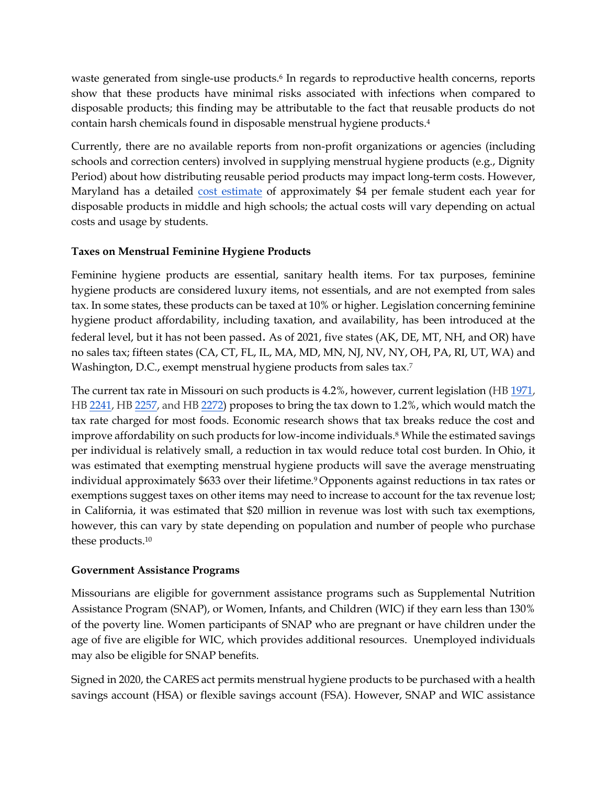waste generated from single-use products.<sup>6</sup> In regards to reproductive health concerns, reports show that these products have minimal risks associated with infections when compared to disposable products; this finding may be attributable to the fact that reusable products do not contain harsh chemicals found in disposable menstrual hygiene products.<sup>4</sup>

Currently, there are no available reports from non-profit organizations or agencies (including schools and correction centers) involved in supplying menstrual hygiene products (e.g., Dignity Period) about how distributing reusable period products may impact long-term costs. However, Maryland has a detailed [cost estimate](https://mgaleg.maryland.gov/2021RS/fnotes/bil_0005/hb0205.pdf) of approximately \$4 per female student each year for disposable products in middle and high schools; the actual costs will vary depending on actual costs and usage by students.

#### **Taxes on Menstrual Feminine Hygiene Products**

Feminine hygiene products are essential, sanitary health items. For tax purposes, feminine hygiene products are considered luxury items, not essentials, and are not exempted from sales tax. In some states, these products can be taxed at 10% or higher. Legislation concerning feminine hygiene product affordability, including taxation, and availability, has been introduced at the federal level, but it has not been passed. As of 2021, five states (AK, DE, MT, NH, and OR) have no sales tax; fifteen states (CA, CT, FL, IL, MA, MD, MN, NJ, NV, NY, OH, PA, RI, UT, WA) and Washington, D.C., exempt menstrual hygiene products from sales tax. 7

The current tax rate in Missouri on such products is 4.2%, however, current legislation (HB [1971,](https://house.mo.gov/Bill.aspx?bill=HB1971&year=2022&code=R) HB [2241,](https://house.mo.gov/Bill.aspx?bill=HB2241&year=2022&code=R) HB [2257,](https://house.mo.gov/Bill.aspx?bill=HB2257&year=2022&code=R) and HB [2272\)](https://house.mo.gov/Bill.aspx?bill=HB2272&year=2022&code=R) proposes to bring the tax down to 1.2%, which would match the tax rate charged for most foods. Economic research shows that tax breaks reduce the cost and improve affordability on such products for low-income individuals.<sup>8</sup> While the estimated savings per individual is relatively small, a reduction in tax would reduce total cost burden. In Ohio, it was estimated that exempting menstrual hygiene products will save the average menstruating individual approximately \$633 over their lifetime.9 Opponents against reductions in tax rates or exemptions suggest taxes on other items may need to increase to account for the tax revenue lost; in California, it was estimated that \$20 million in revenue was lost with such tax exemptions, however, this can vary by state depending on population and number of people who purchase these products. 10

#### **Government Assistance Programs**

Missourians are eligible for government assistance programs such as Supplemental Nutrition Assistance Program (SNAP), or Women, Infants, and Children (WIC) if they earn less than 130% of the poverty line. Women participants of SNAP who are pregnant or have children under the age of five are eligible for WIC, which provides additional resources. Unemployed individuals may also be eligible for SNAP benefits.

Signed in 2020, the CARES act permits menstrual hygiene products to be purchased with a health savings account (HSA) or flexible savings account (FSA). However, SNAP and WIC assistance